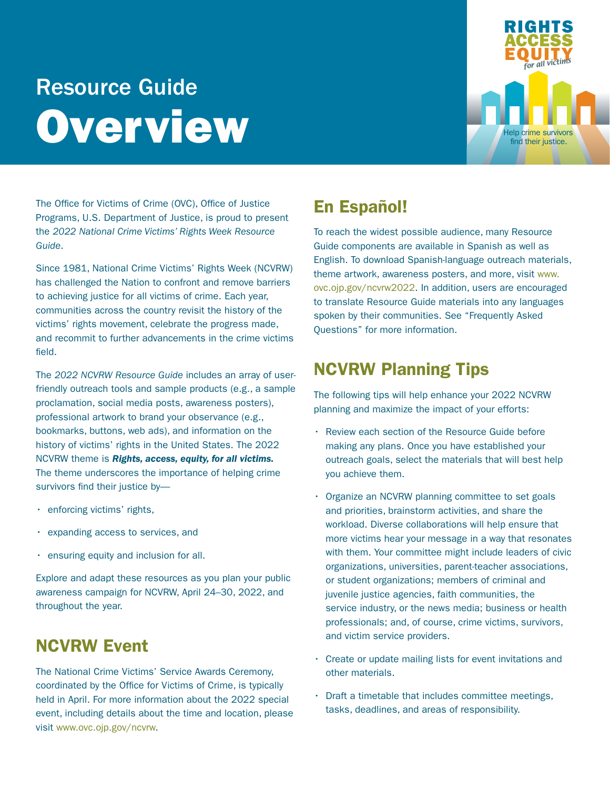# Resource Guide Overview



The Office for Victims of Crime (OVC), Office of Justice Programs, U.S. Department of Justice, is proud to present the *2022 National Crime Victims' Rights Week Resource Guide*.

Since 1981, National Crime Victims' Rights Week (NCVRW) has challenged the Nation to confront and remove barriers to achieving justice for all victims of crime. Each year, communities across the country revisit the history of the victims' rights movement, celebrate the progress made, and recommit to further advancements in the crime victims field.

The *2022 NCVRW Resource Guide* includes an array of userfriendly outreach tools and sample products (e.g., a sample proclamation, social media posts, awareness posters), professional artwork to brand your observance (e.g., bookmarks, buttons, web ads), and information on the history of victims' rights in the United States. The 2022 NCVRW theme is *Rights, access, equity, for all victims.* The theme underscores the importance of helping crime survivors find their justice by—

- enforcing victims' rights,
- expanding access to services, and
- ensuring equity and inclusion for all.

Explore and adapt these resources as you plan your public awareness campaign for NCVRW, April 24–30, 2022, and throughout the year.

## NCVRW Event

The National Crime Victims' Service Awards Ceremony, coordinated by the Office for Victims of Crime, is typically held in April. For more information about the 2022 special event, including details about the time and location, please visit [www.ovc.ojp.gov/ncvrw.](http://www.ovc.ojp.gov/ncvrw)

# En Español!

To reach the widest possible audience, many Resource Guide components are available in Spanish as well as English. To download Spanish-language outreach materials, theme artwork, awareness posters, and more, visit [www.](http://www.ovc.ojp.gov/ncvrw2022) [ovc.ojp.gov/ncvrw2022.](http://www.ovc.ojp.gov/ncvrw2022) In addition, users are encouraged to translate Resource Guide materials into any languages spoken by their communities. See "Frequently Asked Questions" for more information.

## NCVRW Planning Tips

The following tips will help enhance your 2022 NCVRW planning and maximize the impact of your efforts:

- Review each section of the Resource Guide before making any plans. Once you have established your outreach goals, select the materials that will best help you achieve them.
- Organize an NCVRW planning committee to set goals and priorities, brainstorm activities, and share the workload. Diverse collaborations will help ensure that more victims hear your message in a way that resonates with them. Your committee might include leaders of civic organizations, universities, parent-teacher associations, or student organizations; members of criminal and juvenile justice agencies, faith communities, the service industry, or the news media; business or health professionals; and, of course, crime victims, survivors, and victim service providers.
- Create or update mailing lists for event invitations and other materials.
- Draft a timetable that includes committee meetings, tasks, deadlines, and areas of responsibility.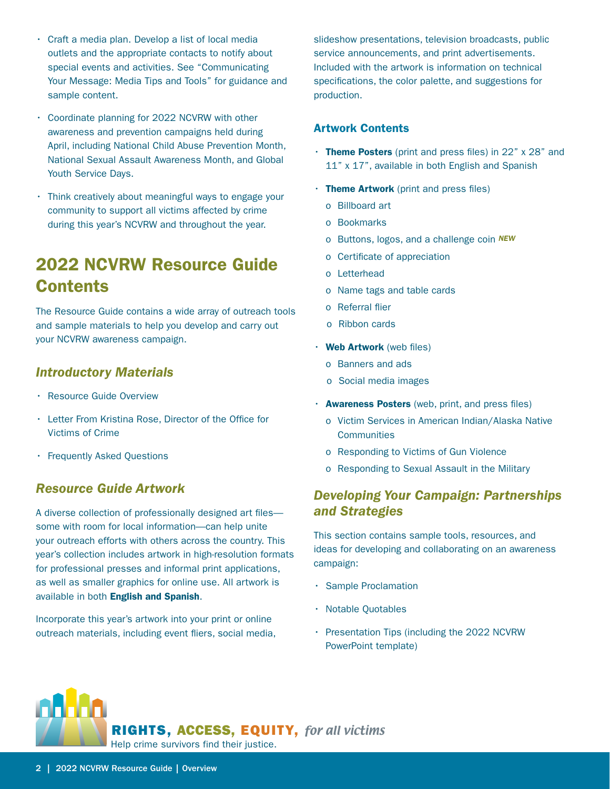- Craft a media plan. Develop a list of local media outlets and the appropriate contacts to notify about special events and activities. See "Communicating Your Message: Media Tips and Tools" for guidance and sample content.
- Coordinate planning for 2022 NCVRW with other awareness and prevention campaigns held during April, including National Child Abuse Prevention Month, National Sexual Assault Awareness Month, and Global Youth Service Days.
- Think creatively about meaningful ways to engage your community to support all victims affected by crime during this year's NCVRW and throughout the year.

# 2022 NCVRW Resource Guide **Contents**

The Resource Guide contains a wide array of outreach tools and sample materials to help you develop and carry out your NCVRW awareness campaign.

### *Introductory Materials*

- Resource Guide Overview
- Letter From Kristina Rose, Director of the Office for Victims of Crime
- Frequently Asked Questions

### *Resource Guide Artwork*

A diverse collection of professionally designed art files some with room for local information—can help unite your outreach efforts with others across the country. This year's collection includes artwork in high-resolution formats for professional presses and informal print applications, as well as smaller graphics for online use. All artwork is available in both English and Spanish.

Incorporate this year's artwork into your print or online outreach materials, including event fliers, social media, slideshow presentations, television broadcasts, public service announcements, and print advertisements. Included with the artwork is information on technical specifications, the color palette, and suggestions for production.

#### Artwork Contents

- Theme Posters (print and press files) in  $22"$  x  $28"$  and 11" x 17", available in both English and Spanish
- $\cdot$  Theme Artwork (print and press files)
	- o Billboard art
	- o Bookmarks
	- o Buttons, logos, and a challenge coin *NEW*
	- o Certificate of appreciation
	- o Letterhead
	- o Name tags and table cards
	- o Referral flier
	- o Ribbon cards
- Web Artwork (web files)
	- o Banners and ads
	- o Social media images
- Awareness Posters (web, print, and press files)
	- o Victim Services in American Indian/Alaska Native **Communities**
	- o Responding to Victims of Gun Violence
	- o Responding to Sexual Assault in the Military

## *Developing Your Campaign: Partnerships and Strategies*

This section contains sample tools, resources, and ideas for developing and collaborating on an awareness campaign:

- Sample Proclamation
- Notable Quotables
- Presentation Tips (including the 2022 NCVRW PowerPoint template)